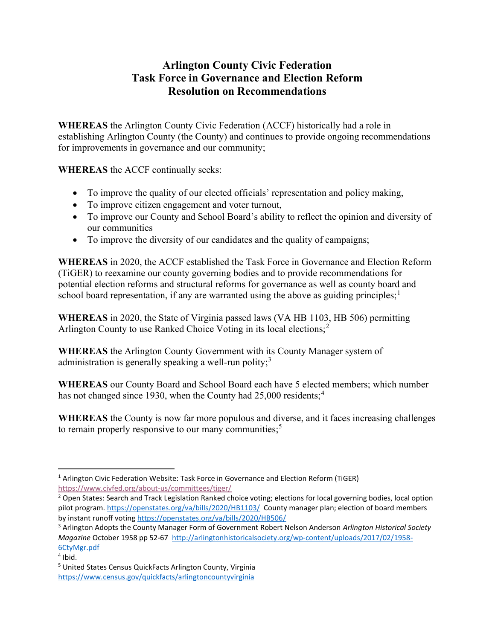# Arlington County Civic Federation Task Force in Governance and Election Reform Resolution on Recommendations

WHEREAS the Arlington County Civic Federation (ACCF) historically had a role in establishing Arlington County (the County) and continues to provide ongoing recommendations for improvements in governance and our community;

WHEREAS the ACCF continually seeks:

- To improve the quality of our elected officials' representation and policy making,
- To improve citizen engagement and voter turnout,
- To improve our County and School Board's ability to reflect the opinion and diversity of our communities
- To improve the diversity of our candidates and the quality of campaigns;

WHEREAS in 2020, the ACCF established the Task Force in Governance and Election Reform (TiGER) to reexamine our county governing bodies and to provide recommendations for potential election reforms and structural reforms for governance as well as county board and school board representation, if any are warranted using the above as guiding principles;  $\frac{1}{1}$ 

WHEREAS in 2020, the State of Virginia passed laws (VA HB 1103, HB 506) permitting Arlington County to use Ranked Choice Voting in its local elections;<sup>2</sup>

WHEREAS the Arlington County Government with its County Manager system of administration is generally speaking a well-run polity;<sup>3</sup>

WHEREAS our County Board and School Board each have 5 elected members; which number has not changed since 1930, when the County had 25,000 residents;<sup>4</sup>

WHEREAS the County is now far more populous and diverse, and it faces increasing challenges to remain properly responsive to our many communities; $<sup>5</sup>$ </sup>

<sup>&</sup>lt;sup>1</sup> Arlington Civic Federation Website: Task Force in Governance and Election Reform (TiGER) https://www.civfed.org/about-us/committees/tiger/

<sup>&</sup>lt;sup>2</sup> Open States: Search and Track Legislation Ranked choice voting; elections for local governing bodies, local option pilot program. https://openstates.org/va/bills/2020/HB1103/ County manager plan; election of board members by instant runoff voting https://openstates.org/va/bills/2020/HB506/

<sup>&</sup>lt;sup>3</sup> Arlington Adopts the County Manager Form of Government Robert Nelson Anderson Arlington Historical Society Magazine October 1958 pp 52-67 http://arlingtonhistoricalsociety.org/wp-content/uploads/2017/02/1958- 6CtyMgr.pdf

<sup>4</sup> Ibid.

<sup>&</sup>lt;sup>5</sup> United States Census QuickFacts Arlington County, Virginia https://www.census.gov/quickfacts/arlingtoncountyvirginia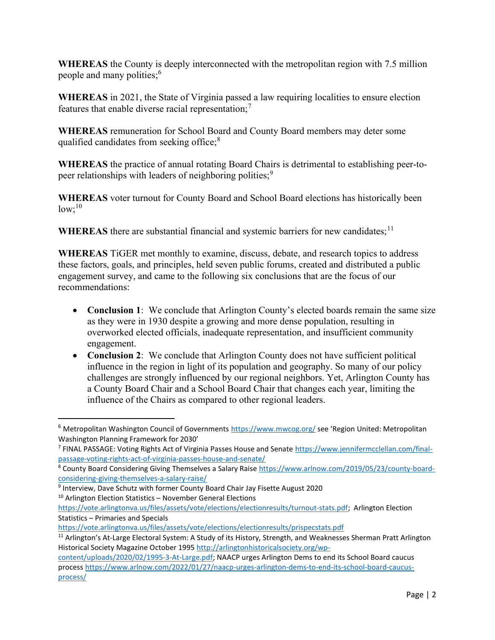WHEREAS the County is deeply interconnected with the metropolitan region with 7.5 million people and many polities;<sup>6</sup>

WHEREAS in 2021, the State of Virginia passed a law requiring localities to ensure election features that enable diverse racial representation;<sup>7</sup>

WHEREAS remuneration for School Board and County Board members may deter some qualified candidates from seeking office;<sup>8</sup>

WHEREAS the practice of annual rotating Board Chairs is detrimental to establishing peer-topeer relationships with leaders of neighboring polities;<sup>9</sup>

WHEREAS voter turnout for County Board and School Board elections has historically been  $low;^{10}$ 

WHEREAS there are substantial financial and systemic barriers for new candidates;  $11$ 

WHEREAS TiGER met monthly to examine, discuss, debate, and research topics to address these factors, goals, and principles, held seven public forums, created and distributed a public engagement survey, and came to the following six conclusions that are the focus of our recommendations:

- Conclusion 1: We conclude that Arlington County's elected boards remain the same size as they were in 1930 despite a growing and more dense population, resulting in overworked elected officials, inadequate representation, and insufficient community engagement.
- Conclusion 2: We conclude that Arlington County does not have sufficient political influence in the region in light of its population and geography. So many of our policy challenges are strongly influenced by our regional neighbors. Yet, Arlington County has a County Board Chair and a School Board Chair that changes each year, limiting the influence of the Chairs as compared to other regional leaders.

 $6$  Metropolitan Washington Council of Governments https://www.mwcog.org/ see 'Region United: Metropolitan Washington Planning Framework for 2030'

<sup>&</sup>lt;sup>7</sup> FINAL PASSAGE: Voting Rights Act of Virginia Passes House and Senate https://www.jennifermcclellan.com/finalpassage-voting-rights-act-of-virginia-passes-house-and-senate/

<sup>&</sup>lt;sup>8</sup> County Board Considering Giving Themselves a Salary Raise https://www.arlnow.com/2019/05/23/county-boardconsidering-giving-themselves-a-salary-raise/

<sup>&</sup>lt;sup>9</sup> Interview, Dave Schutz with former County Board Chair Jay Fisette August 2020 <sup>10</sup> Arlington Election Statistics – November General Elections

https://vote.arlingtonva.us/files/assets/vote/elections/electionresults/turnout-stats.pdf; Arlington Election Statistics – Primaries and Specials

https://vote.arlingtonva.us/files/assets/vote/elections/electionresults/prispecstats.pdf

<sup>&</sup>lt;sup>11</sup> Arlington's At-Large Electoral System: A Study of its History, Strength, and Weaknesses Sherman Pratt Arlington Historical Society Magazine October 1995 http://arlingtonhistoricalsociety.org/wp-

content/uploads/2020/02/1995-3-At-Large.pdf; NAACP urges Arlington Dems to end its School Board caucus process https://www.arlnow.com/2022/01/27/naacp-urges-arlington-dems-to-end-its-school-board-caucusprocess/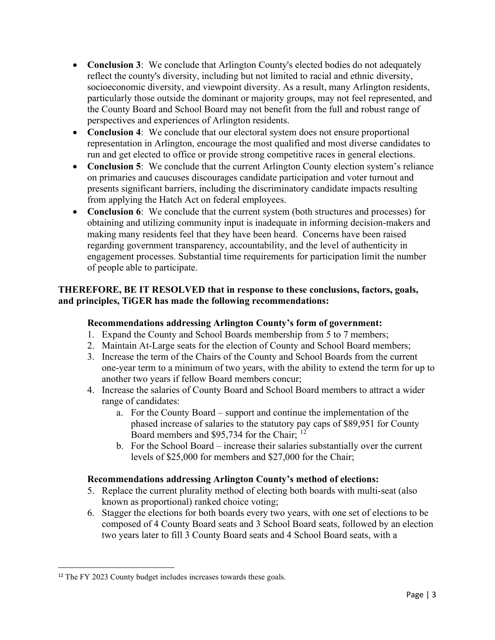- Conclusion 3: We conclude that Arlington County's elected bodies do not adequately reflect the county's diversity, including but not limited to racial and ethnic diversity, socioeconomic diversity, and viewpoint diversity. As a result, many Arlington residents, particularly those outside the dominant or majority groups, may not feel represented, and the County Board and School Board may not benefit from the full and robust range of perspectives and experiences of Arlington residents.
- Conclusion 4: We conclude that our electoral system does not ensure proportional representation in Arlington, encourage the most qualified and most diverse candidates to run and get elected to office or provide strong competitive races in general elections.
- Conclusion 5: We conclude that the current Arlington County election system's reliance on primaries and caucuses discourages candidate participation and voter turnout and presents significant barriers, including the discriminatory candidate impacts resulting from applying the Hatch Act on federal employees.
- Conclusion 6: We conclude that the current system (both structures and processes) for obtaining and utilizing community input is inadequate in informing decision-makers and making many residents feel that they have been heard. Concerns have been raised regarding government transparency, accountability, and the level of authenticity in engagement processes. Substantial time requirements for participation limit the number of people able to participate.

## THEREFORE, BE IT RESOLVED that in response to these conclusions, factors, goals, and principles, TiGER has made the following recommendations:

## Recommendations addressing Arlington County's form of government:

- 1. Expand the County and School Boards membership from 5 to 7 members;
- 2. Maintain At-Large seats for the election of County and School Board members;
- 3. Increase the term of the Chairs of the County and School Boards from the current one-year term to a minimum of two years, with the ability to extend the term for up to another two years if fellow Board members concur;
- 4. Increase the salaries of County Board and School Board members to attract a wider range of candidates:
	- a. For the County Board support and continue the implementation of the phased increase of salaries to the statutory pay caps of \$89,951 for County Board members and \$95,734 for the Chair; <sup>12</sup>
	- b. For the School Board increase their salaries substantially over the current levels of \$25,000 for members and \$27,000 for the Chair;

## Recommendations addressing Arlington County's method of elections:

- 5. Replace the current plurality method of electing both boards with multi-seat (also known as proportional) ranked choice voting;
- 6. Stagger the elections for both boards every two years, with one set of elections to be composed of 4 County Board seats and 3 School Board seats, followed by an election two years later to fill 3 County Board seats and 4 School Board seats, with a

<sup>&</sup>lt;sup>12</sup> The FY 2023 County budget includes increases towards these goals.